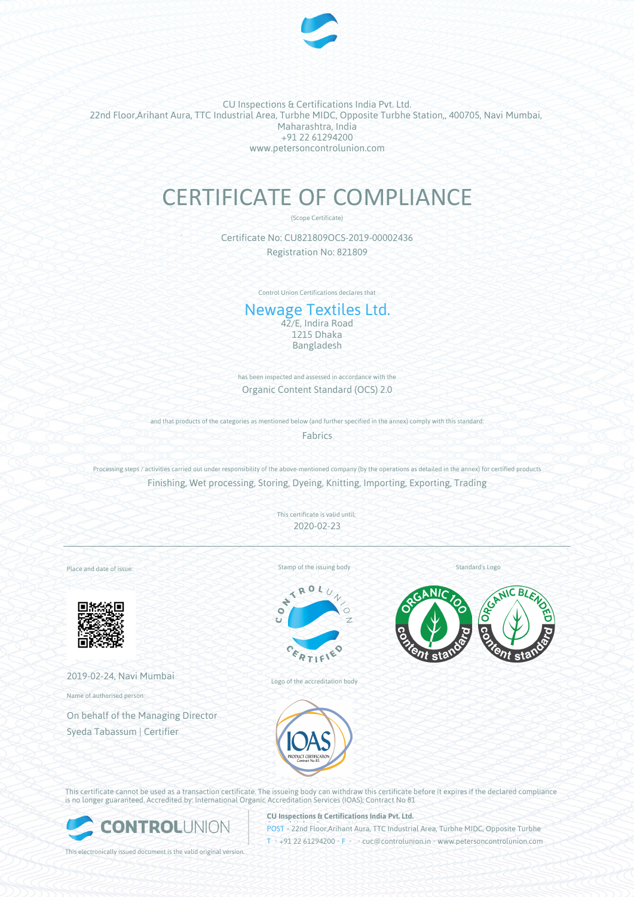

CU Inspections & Certifications India Pvt. Ltd. 22nd Floor,Arihant Aura, TTC Industrial Area, Turbhe MIDC, Opposite Turbhe Station,, 400705, Navi Mumbai, Maharashtra, India +91 22 61294200 www.petersoncontrolunion.com

# CERTIFICATE OF COMPLIANCE

(Scope Certificate)

Certificate No: CU821809OCS-2019-00002436 Registration No: 821809

Control Union Certifications declares that

## Newage Textiles Ltd.

42/E, Indira Road 1215 Dhaka Bangladesh

has been inspected and assessed in accordance with the Organic Content Standard (OCS) 2.0

and that products of the categories as mentioned below (and further specified in the annex) comply with this standard:

**Fabrics** 

Processing steps / activities carried out under responsibility of the above-mentioned company (by the operations as detailed in the annex) for certified products Finishing, Wet processing, Storing, Dyeing, Knitting, Importing, Exporting, Trading

> This certificate is valid until: 2020-02-23

Place and date of issue:



2019-02-24, Navi Mumbai

Name of authorised person:

On behalf of the Managing Director Syeda Tabassum | Certifier

Stamp of the issuing body



Logo of the accreditation body

Standard's Logo





This certificate cannot be used as a transaction certificate. The issueing body can withdraw this certificate before it expires if the declared compliance is no longer guaranteed. Accredited by: International Organic Accreditation Services (IOAS); Contract No 81



**CU Inspections & Certifications India Pvt. Ltd.**

**POST** • 22nd Floor,Arihant Aura, TTC Industrial Area, Turbhe MIDC, Opposite Turbhe T • +91 22 61294200 • F • • cuc@controlunion.in • www.petersoncontrolunion.com

This electronically issued document is the valid original version.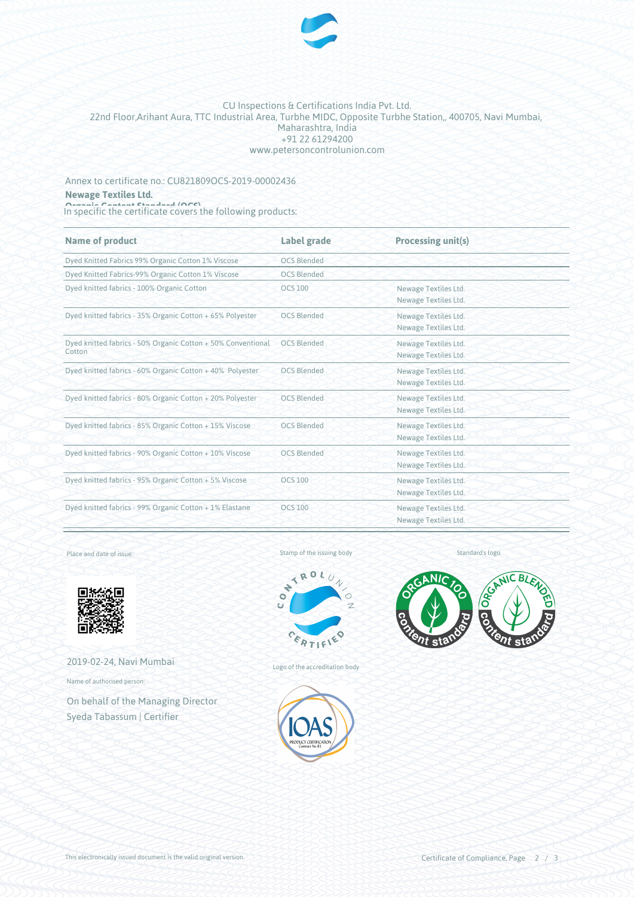

#### CU Inspections & Certifications India Pvt. Ltd. 22nd Floor,Arihant Aura, TTC Industrial Area, Turbhe MIDC, Opposite Turbhe Station,, 400705, Navi Mumbai, Maharashtra, India +91 22 61294200 www.petersoncontrolunion.com

Annex to certificate no.: CU821809OCS-2019-00002436 **Newage Textiles Ltd.**

**Organic Content Standard (OCS)**<br>In specific the certificate covers the following products:

| Name of product                                                        | Label grade        | <b>Processing unit(s)</b> |
|------------------------------------------------------------------------|--------------------|---------------------------|
| Dyed Knitted Fabrics 99% Organic Cotton 1% Viscose                     | <b>OCS Blended</b> |                           |
| Dyed Knitted Fabrics-99% Organic Cotton 1% Viscose                     | <b>OCS Blended</b> |                           |
| Dyed knitted fabrics - 100% Organic Cotton                             | <b>OCS 100</b>     | Newage Textiles Ltd.      |
|                                                                        |                    | Newage Textiles Ltd.      |
| Dyed knitted fabrics - 35% Organic Cotton + 65% Polyester              | <b>OCS Blended</b> | Newage Textiles Ltd.      |
|                                                                        |                    | Newage Textiles Ltd.      |
| Dyed knitted fabrics - 50% Organic Cotton + 50% Conventional<br>Cotton | <b>OCS Blended</b> | Newage Textiles Ltd.      |
|                                                                        |                    | Newage Textiles Ltd.      |
| Dyed knitted fabrics - 60% Organic Cotton + 40% Polyester              | <b>OCS Blended</b> | Newage Textiles Ltd.      |
|                                                                        |                    | Newage Textiles Ltd.      |
| Dyed knitted fabrics - 80% Organic Cotton + 20% Polyester              | <b>OCS Blended</b> | Newage Textiles Ltd.      |
|                                                                        |                    | Newage Textiles Ltd.      |
| Dyed knitted fabrics - 85% Organic Cotton + 15% Viscose                | <b>OCS Blended</b> | Newage Textiles Ltd.      |
|                                                                        |                    | Newage Textiles Ltd.      |
| Dyed knitted fabrics - 90% Organic Cotton + 10% Viscose                | <b>OCS Blended</b> | Newage Textiles Ltd.      |
|                                                                        |                    | Newage Textiles Ltd.      |
| Dyed knitted fabrics - 95% Organic Cotton + 5% Viscose                 | <b>OCS 100</b>     | Newage Textiles Ltd.      |
|                                                                        |                    | Newage Textiles Ltd.      |
| Dyed knitted fabrics - 99% Organic Cotton + 1% Elastane                | <b>OCS 100</b>     | Newage Textiles Ltd.      |
|                                                                        |                    | Newage Textiles Ltd.      |

Place and date of issue:



2019-02-24, Navi Mumbai

Name of authorised person:

On behalf of the Managing Director Syeda Tabassum | Certifier

Stamp of the issuing body





Logo of the accreditation body



NIC BL

This electronically issued document is the valid original version.